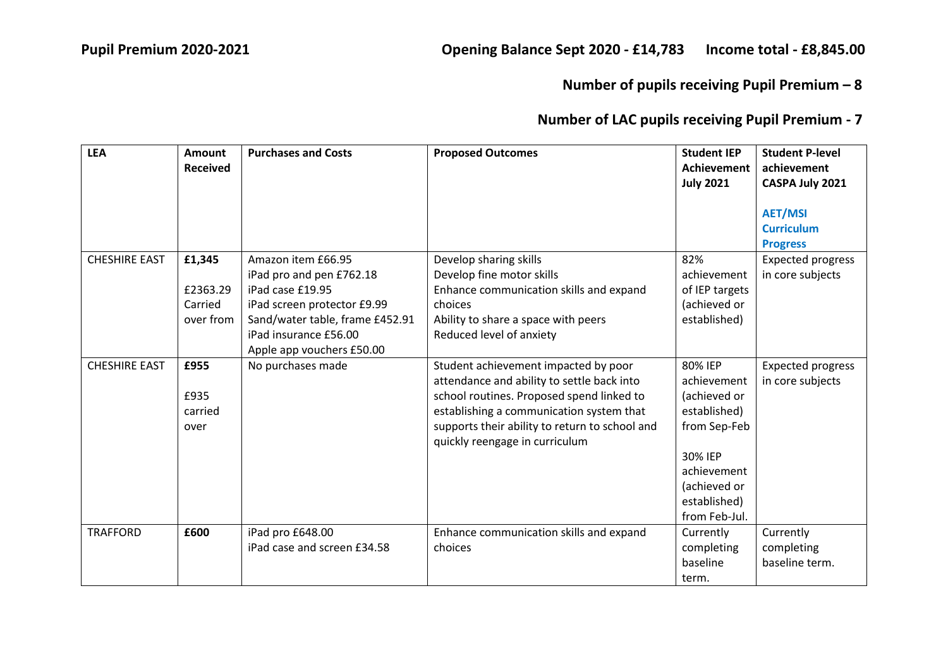| <b>LEA</b>           | <b>Amount</b><br><b>Received</b>           | <b>Purchases and Costs</b>                                                                                                                                                                 | <b>Proposed Outcomes</b>                                                                                                                                                                                                                                        | <b>Student IEP</b><br><b>Achievement</b><br><b>July 2021</b>                                                                                      | <b>Student P-level</b><br>achievement<br>CASPA July 2021 |
|----------------------|--------------------------------------------|--------------------------------------------------------------------------------------------------------------------------------------------------------------------------------------------|-----------------------------------------------------------------------------------------------------------------------------------------------------------------------------------------------------------------------------------------------------------------|---------------------------------------------------------------------------------------------------------------------------------------------------|----------------------------------------------------------|
|                      |                                            |                                                                                                                                                                                            |                                                                                                                                                                                                                                                                 |                                                                                                                                                   | <b>AET/MSI</b><br><b>Curriculum</b><br><b>Progress</b>   |
| <b>CHESHIRE EAST</b> | £1,345<br>£2363.29<br>Carried<br>over from | Amazon item £66.95<br>iPad pro and pen £762.18<br>iPad case £19.95<br>iPad screen protector £9.99<br>Sand/water table, frame £452.91<br>iPad insurance £56.00<br>Apple app vouchers £50.00 | Develop sharing skills<br>Develop fine motor skills<br>Enhance communication skills and expand<br>choices<br>Ability to share a space with peers<br>Reduced level of anxiety                                                                                    | 82%<br>achievement<br>of IEP targets<br>(achieved or<br>established)                                                                              | <b>Expected progress</b><br>in core subjects             |
| <b>CHESHIRE EAST</b> | £955<br>£935<br>carried<br>over            | No purchases made                                                                                                                                                                          | Student achievement impacted by poor<br>attendance and ability to settle back into<br>school routines. Proposed spend linked to<br>establishing a communication system that<br>supports their ability to return to school and<br>quickly reengage in curriculum | 80% IEP<br>achievement<br>(achieved or<br>established)<br>from Sep-Feb<br>30% IEP<br>achievement<br>(achieved or<br>established)<br>from Feb-Jul. | <b>Expected progress</b><br>in core subjects             |
| <b>TRAFFORD</b>      | £600                                       | iPad pro £648.00<br>iPad case and screen £34.58                                                                                                                                            | Enhance communication skills and expand<br>choices                                                                                                                                                                                                              | Currently<br>completing<br>baseline<br>term.                                                                                                      | Currently<br>completing<br>baseline term.                |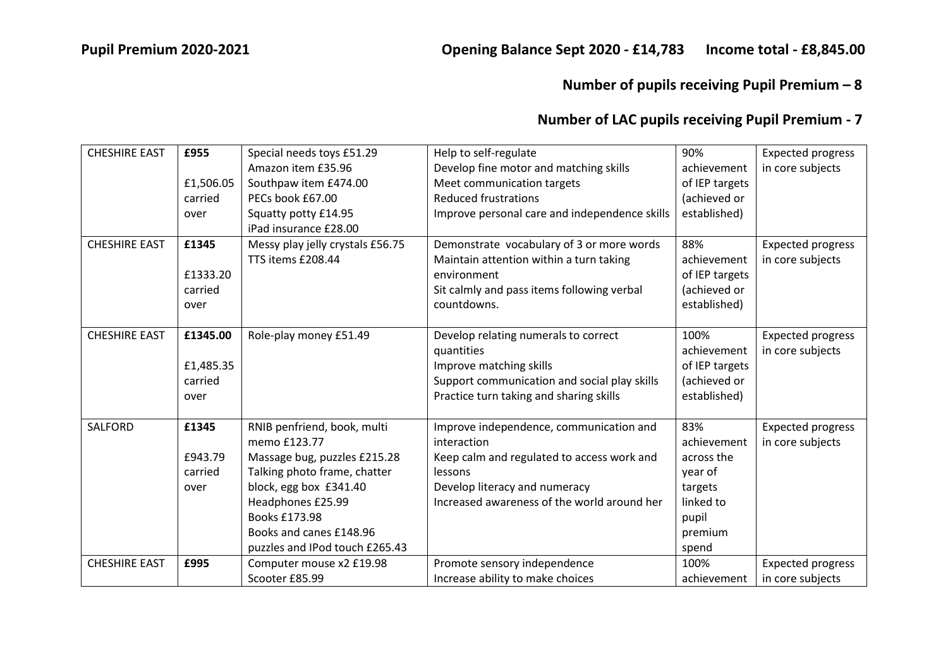| <b>CHESHIRE EAST</b> | £955      | Special needs toys £51.29        | Help to self-regulate                         | 90%            | <b>Expected progress</b> |
|----------------------|-----------|----------------------------------|-----------------------------------------------|----------------|--------------------------|
|                      |           | Amazon item £35.96               | Develop fine motor and matching skills        | achievement    | in core subjects         |
|                      | £1,506.05 | Southpaw item £474.00            | Meet communication targets                    | of IEP targets |                          |
|                      | carried   | PECs book £67.00                 | <b>Reduced frustrations</b>                   | (achieved or   |                          |
|                      | over      | Squatty potty £14.95             | Improve personal care and independence skills | established)   |                          |
|                      |           | iPad insurance £28.00            |                                               |                |                          |
| <b>CHESHIRE EAST</b> | £1345     | Messy play jelly crystals £56.75 | Demonstrate vocabulary of 3 or more words     | 88%            | <b>Expected progress</b> |
|                      |           | TTS items £208.44                | Maintain attention within a turn taking       | achievement    | in core subjects         |
|                      | £1333.20  |                                  | environment                                   | of IEP targets |                          |
|                      | carried   |                                  | Sit calmly and pass items following verbal    | (achieved or   |                          |
|                      | over      |                                  | countdowns.                                   | established)   |                          |
|                      |           |                                  |                                               |                |                          |
| <b>CHESHIRE EAST</b> | £1345.00  | Role-play money £51.49           | Develop relating numerals to correct          | 100%           | <b>Expected progress</b> |
|                      |           |                                  | quantities                                    | achievement    | in core subjects         |
|                      | £1,485.35 |                                  | Improve matching skills                       | of IEP targets |                          |
|                      | carried   |                                  | Support communication and social play skills  | (achieved or   |                          |
|                      | over      |                                  | Practice turn taking and sharing skills       | established)   |                          |
|                      |           |                                  |                                               |                |                          |
| <b>SALFORD</b>       | £1345     | RNIB penfriend, book, multi      | Improve independence, communication and       | 83%            | <b>Expected progress</b> |
|                      |           | memo £123.77                     | interaction                                   | achievement    | in core subjects         |
|                      | £943.79   | Massage bug, puzzles £215.28     | Keep calm and regulated to access work and    | across the     |                          |
|                      | carried   | Talking photo frame, chatter     | lessons                                       | year of        |                          |
|                      | over      | block, egg box £341.40           | Develop literacy and numeracy                 | targets        |                          |
|                      |           | Headphones £25.99                | Increased awareness of the world around her   | linked to      |                          |
|                      |           | Books £173.98                    |                                               | pupil          |                          |
|                      |           | Books and canes £148.96          |                                               | premium        |                          |
|                      |           | puzzles and IPod touch £265.43   |                                               | spend          |                          |
| <b>CHESHIRE EAST</b> | £995      | Computer mouse x2 £19.98         | Promote sensory independence                  | 100%           | <b>Expected progress</b> |
|                      |           | Scooter £85.99                   | Increase ability to make choices              | achievement    | in core subjects         |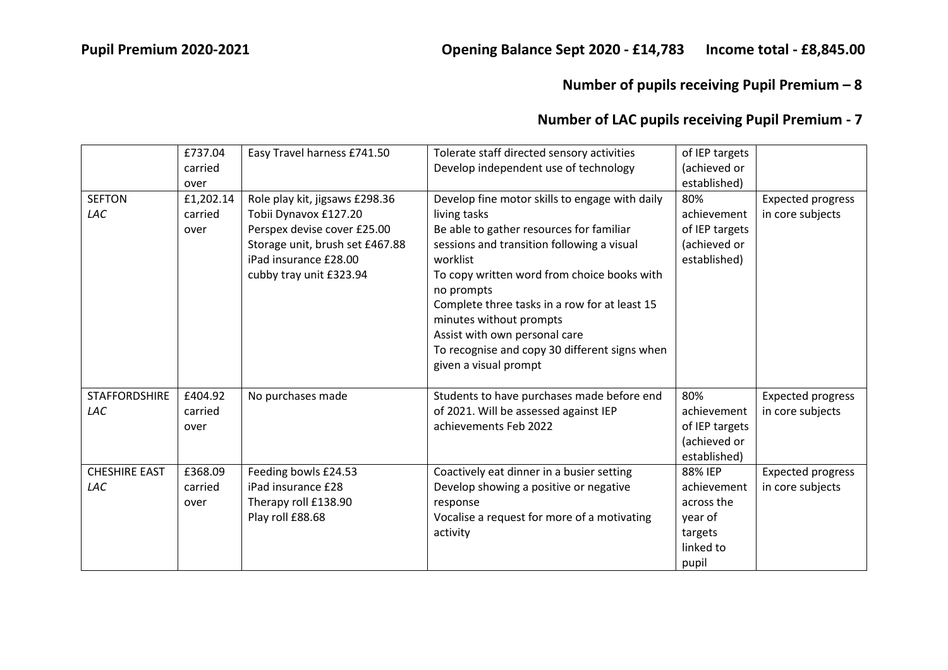| <b>SEFTON</b><br>LAC        | £737.04<br>carried<br>over<br>£1,202.14<br>carried<br>over | Easy Travel harness £741.50<br>Role play kit, jigsaws £298.36<br>Tobii Dynavox £127.20<br>Perspex devise cover £25.00<br>Storage unit, brush set £467.88<br>iPad insurance £28.00<br>cubby tray unit £323.94 | Tolerate staff directed sensory activities<br>Develop independent use of technology<br>Develop fine motor skills to engage with daily<br>living tasks<br>Be able to gather resources for familiar<br>sessions and transition following a visual<br>worklist<br>To copy written word from choice books with<br>no prompts<br>Complete three tasks in a row for at least 15<br>minutes without prompts<br>Assist with own personal care | of IEP targets<br>(achieved or<br>established)<br>80%<br>achievement<br>of IEP targets<br>(achieved or<br>established) | <b>Expected progress</b><br>in core subjects |
|-----------------------------|------------------------------------------------------------|--------------------------------------------------------------------------------------------------------------------------------------------------------------------------------------------------------------|---------------------------------------------------------------------------------------------------------------------------------------------------------------------------------------------------------------------------------------------------------------------------------------------------------------------------------------------------------------------------------------------------------------------------------------|------------------------------------------------------------------------------------------------------------------------|----------------------------------------------|
|                             |                                                            |                                                                                                                                                                                                              | To recognise and copy 30 different signs when<br>given a visual prompt                                                                                                                                                                                                                                                                                                                                                                |                                                                                                                        |                                              |
| <b>STAFFORDSHIRE</b><br>LAC | £404.92<br>carried<br>over                                 | No purchases made                                                                                                                                                                                            | Students to have purchases made before end<br>of 2021. Will be assessed against IEP<br>achievements Feb 2022                                                                                                                                                                                                                                                                                                                          | 80%<br>achievement<br>of IEP targets<br>(achieved or<br>established)                                                   | <b>Expected progress</b><br>in core subjects |
| <b>CHESHIRE EAST</b><br>LAC | £368.09<br>carried<br>over                                 | Feeding bowls £24.53<br>iPad insurance £28<br>Therapy roll £138.90<br>Play roll £88.68                                                                                                                       | Coactively eat dinner in a busier setting<br>Develop showing a positive or negative<br>response<br>Vocalise a request for more of a motivating<br>activity                                                                                                                                                                                                                                                                            | 88% IEP<br>achievement<br>across the<br>year of<br>targets<br>linked to<br>pupil                                       | <b>Expected progress</b><br>in core subjects |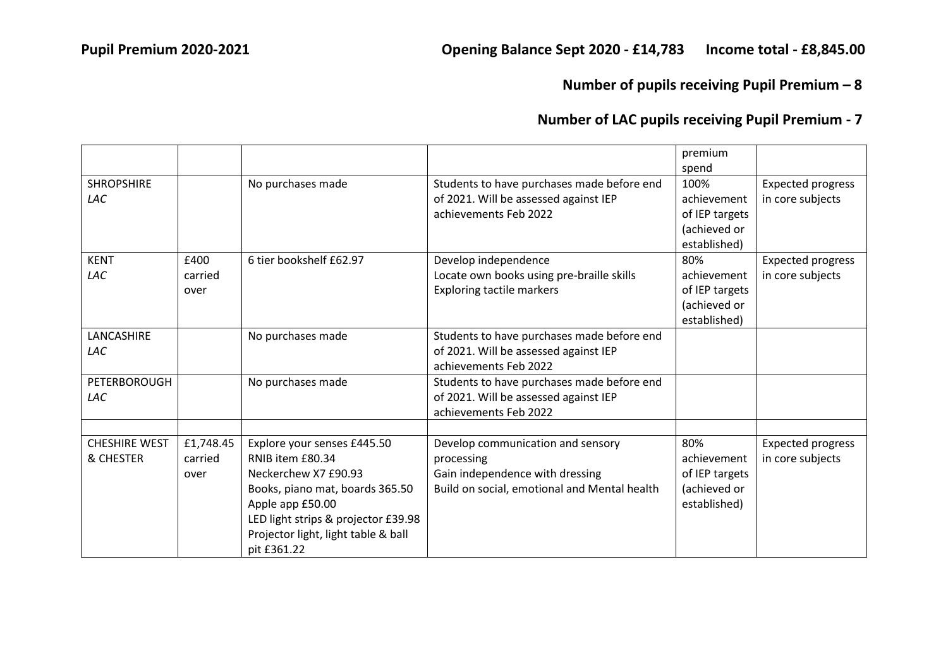|                                   |                              |                                                                                                                                                                                                                             |                                                                                                                                    | premium<br>spend                                                      |                                              |
|-----------------------------------|------------------------------|-----------------------------------------------------------------------------------------------------------------------------------------------------------------------------------------------------------------------------|------------------------------------------------------------------------------------------------------------------------------------|-----------------------------------------------------------------------|----------------------------------------------|
| <b>SHROPSHIRE</b><br><b>LAC</b>   |                              | No purchases made                                                                                                                                                                                                           | Students to have purchases made before end<br>of 2021. Will be assessed against IEP<br>achievements Feb 2022                       | 100%<br>achievement<br>of IEP targets<br>(achieved or<br>established) | <b>Expected progress</b><br>in core subjects |
| <b>KENT</b><br>LAC                | £400<br>carried<br>over      | 6 tier bookshelf £62.97                                                                                                                                                                                                     | Develop independence<br>Locate own books using pre-braille skills<br><b>Exploring tactile markers</b>                              | 80%<br>achievement<br>of IEP targets<br>(achieved or<br>established)  | <b>Expected progress</b><br>in core subjects |
| LANCASHIRE<br>LAC                 |                              | No purchases made                                                                                                                                                                                                           | Students to have purchases made before end<br>of 2021. Will be assessed against IEP<br>achievements Feb 2022                       |                                                                       |                                              |
| PETERBOROUGH<br>LAC               |                              | No purchases made                                                                                                                                                                                                           | Students to have purchases made before end<br>of 2021. Will be assessed against IEP<br>achievements Feb 2022                       |                                                                       |                                              |
| <b>CHESHIRE WEST</b><br>& CHESTER | £1,748.45<br>carried<br>over | Explore your senses £445.50<br>RNIB item £80.34<br>Neckerchew X7 £90.93<br>Books, piano mat, boards 365.50<br>Apple app £50.00<br>LED light strips & projector £39.98<br>Projector light, light table & ball<br>pit £361.22 | Develop communication and sensory<br>processing<br>Gain independence with dressing<br>Build on social, emotional and Mental health | 80%<br>achievement<br>of IEP targets<br>(achieved or<br>established)  | <b>Expected progress</b><br>in core subjects |